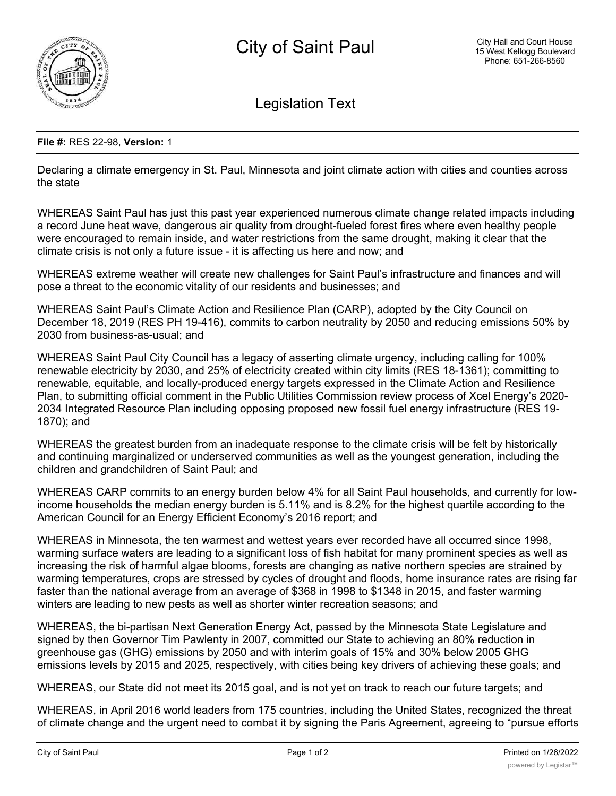

Legislation Text

## **File #:** RES 22-98, **Version:** 1

Declaring a climate emergency in St. Paul, Minnesota and joint climate action with cities and counties across the state

WHEREAS Saint Paul has just this past year experienced numerous climate change related impacts including a record June heat wave, dangerous air quality from drought-fueled forest fires where even healthy people were encouraged to remain inside, and water restrictions from the same drought, making it clear that the climate crisis is not only a future issue - it is affecting us here and now; and

WHEREAS extreme weather will create new challenges for Saint Paul's infrastructure and finances and will pose a threat to the economic vitality of our residents and businesses; and

WHEREAS Saint Paul's Climate Action and Resilience Plan (CARP), adopted by the City Council on December 18, 2019 (RES PH 19-416), commits to carbon neutrality by 2050 and reducing emissions 50% by 2030 from business-as-usual; and

WHEREAS Saint Paul City Council has a legacy of asserting climate urgency, including calling for 100% renewable electricity by 2030, and 25% of electricity created within city limits (RES 18-1361); committing to renewable, equitable, and locally-produced energy targets expressed in the Climate Action and Resilience Plan, to submitting official comment in the Public Utilities Commission review process of Xcel Energy's 2020- 2034 Integrated Resource Plan including opposing proposed new fossil fuel energy infrastructure (RES 19- 1870); and

WHEREAS the greatest burden from an inadequate response to the climate crisis will be felt by historically and continuing marginalized or underserved communities as well as the youngest generation, including the children and grandchildren of Saint Paul; and

WHEREAS CARP commits to an energy burden below 4% for all Saint Paul households, and currently for lowincome households the median energy burden is 5.11% and is 8.2% for the highest quartile according to the American Council for an Energy Efficient Economy's 2016 report; and

WHEREAS in Minnesota, the ten warmest and wettest years ever recorded have all occurred since 1998, warming surface waters are leading to a significant loss of fish habitat for many prominent species as well as increasing the risk of harmful algae blooms, forests are changing as native northern species are strained by warming temperatures, crops are stressed by cycles of drought and floods, home insurance rates are rising far faster than the national average from an average of \$368 in 1998 to \$1348 in 2015, and faster warming winters are leading to new pests as well as shorter winter recreation seasons; and

WHEREAS, the bi-partisan Next Generation Energy Act, passed by the Minnesota State Legislature and signed by then Governor Tim Pawlenty in 2007, committed our State to achieving an 80% reduction in greenhouse gas (GHG) emissions by 2050 and with interim goals of 15% and 30% below 2005 GHG emissions levels by 2015 and 2025, respectively, with cities being key drivers of achieving these goals; and

WHEREAS, our State did not meet its 2015 goal, and is not yet on track to reach our future targets; and

WHEREAS, in April 2016 world leaders from 175 countries, including the United States, recognized the threat of climate change and the urgent need to combat it by signing the Paris Agreement, agreeing to "pursue efforts